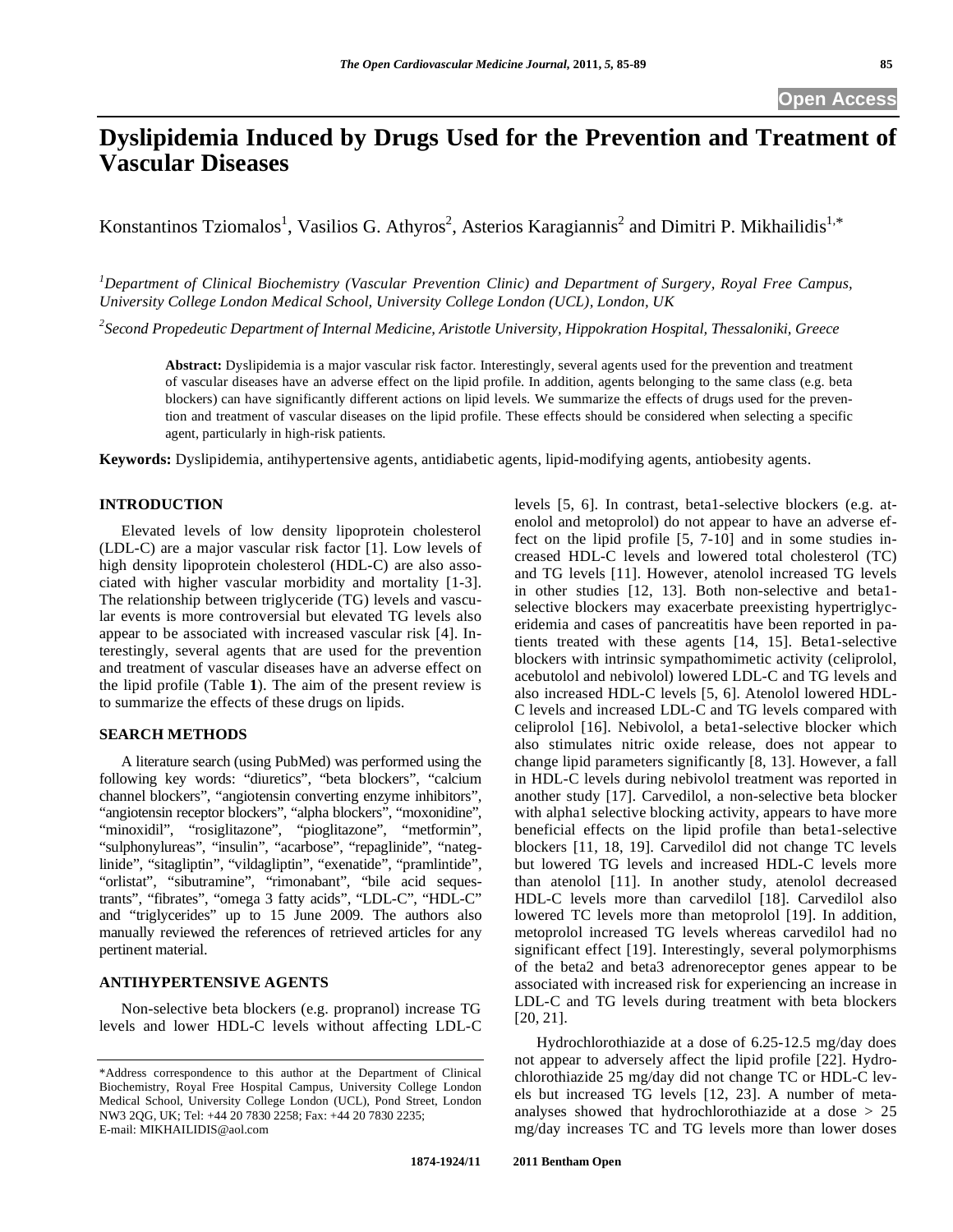# **Dyslipidemia Induced by Drugs Used for the Prevention and Treatment of Vascular Diseases**

Konstantinos Tziomalos<sup>1</sup>, Vasilios G. Athyros<sup>2</sup>, Asterios Karagiannis<sup>2</sup> and Dimitri P. Mikhailidis<sup>1,\*</sup>

<sup>1</sup> Department of Clinical Biochemistry (Vascular Prevention Clinic) and Department of Surgery, Royal Free Campus, *University College London Medical School, University College London (UCL), London, UK* 

*2 Second Propedeutic Department of Internal Medicine, Aristotle University, Hippokration Hospital, Thessaloniki, Greece* 

**Abstract:** Dyslipidemia is a major vascular risk factor. Interestingly, several agents used for the prevention and treatment of vascular diseases have an adverse effect on the lipid profile. In addition, agents belonging to the same class (e.g. beta blockers) can have significantly different actions on lipid levels. We summarize the effects of drugs used for the prevention and treatment of vascular diseases on the lipid profile. These effects should be considered when selecting a specific agent, particularly in high-risk patients.

**Keywords:** Dyslipidemia, antihypertensive agents, antidiabetic agents, lipid-modifying agents, antiobesity agents.

## **INTRODUCTION**

 Elevated levels of low density lipoprotein cholesterol (LDL-C) are a major vascular risk factor [1]. Low levels of high density lipoprotein cholesterol (HDL-C) are also associated with higher vascular morbidity and mortality [1-3]. The relationship between triglyceride (TG) levels and vascular events is more controversial but elevated TG levels also appear to be associated with increased vascular risk [4]. Interestingly, several agents that are used for the prevention and treatment of vascular diseases have an adverse effect on the lipid profile (Table **1**). The aim of the present review is to summarize the effects of these drugs on lipids.

### **SEARCH METHODS**

 A literature search (using PubMed) was performed using the following key words: "diuretics", "beta blockers", "calcium channel blockers", "angiotensin converting enzyme inhibitors", "angiotensin receptor blockers", "alpha blockers", "moxonidine", "minoxidil", "rosiglitazone", "pioglitazone", "metformin", "sulphonylureas", "insulin", "acarbose", "repaglinide", "nateglinide", "sitagliptin", "vildagliptin", "exenatide", "pramlintide", "orlistat", "sibutramine", "rimonabant", "bile acid sequestrants", "fibrates", "omega 3 fatty acids", "LDL-C", "HDL-C" and "triglycerides" up to 15 June 2009. The authors also manually reviewed the references of retrieved articles for any pertinent material.

#### **ANTIHYPERTENSIVE AGENTS**

 Non-selective beta blockers (e.g. propranol) increase TG levels and lower HDL-C levels without affecting LDL-C levels [5, 6]. In contrast, beta1-selective blockers (e.g. atenolol and metoprolol) do not appear to have an adverse effect on the lipid profile [5, 7-10] and in some studies increased HDL-C levels and lowered total cholesterol (TC) and TG levels [11]. However, atenolol increased TG levels in other studies [12, 13]. Both non-selective and beta1 selective blockers may exacerbate preexisting hypertriglyceridemia and cases of pancreatitis have been reported in patients treated with these agents [14, 15]. Beta1-selective blockers with intrinsic sympathomimetic activity (celiprolol, acebutolol and nebivolol) lowered LDL-C and TG levels and also increased HDL-C levels [5, 6]. Atenolol lowered HDL-C levels and increased LDL-C and TG levels compared with celiprolol [16]. Nebivolol, a beta1-selective blocker which also stimulates nitric oxide release, does not appear to change lipid parameters significantly [8, 13]. However, a fall in HDL-C levels during nebivolol treatment was reported in another study [17]. Carvedilol, a non-selective beta blocker with alpha1 selective blocking activity, appears to have more beneficial effects on the lipid profile than beta1-selective blockers [11, 18, 19]. Carvedilol did not change TC levels but lowered TG levels and increased HDL-C levels more than atenolol [11]. In another study, atenolol decreased HDL-C levels more than carvedilol [18]. Carvedilol also lowered TC levels more than metoprolol [19]. In addition, metoprolol increased TG levels whereas carvedilol had no significant effect [19]. Interestingly, several polymorphisms of the beta2 and beta3 adrenoreceptor genes appear to be associated with increased risk for experiencing an increase in LDL-C and TG levels during treatment with beta blockers [20, 21].

 Hydrochlorothiazide at a dose of 6.25-12.5 mg/day does not appear to adversely affect the lipid profile [22]. Hydrochlorothiazide 25 mg/day did not change TC or HDL-C levels but increased TG levels [12, 23]. A number of metaanalyses showed that hydrochlorothiazide at a dose > 25 mg/day increases TC and TG levels more than lower doses

<sup>\*</sup>Address correspondence to this author at the Department of Clinical Biochemistry, Royal Free Hospital Campus, University College London Medical School, University College London (UCL), Pond Street, London NW3 2QG, UK; Tel: +44 20 7830 2258; Fax: +44 20 7830 2235; E-mail: MIKHAILIDIS@aol.com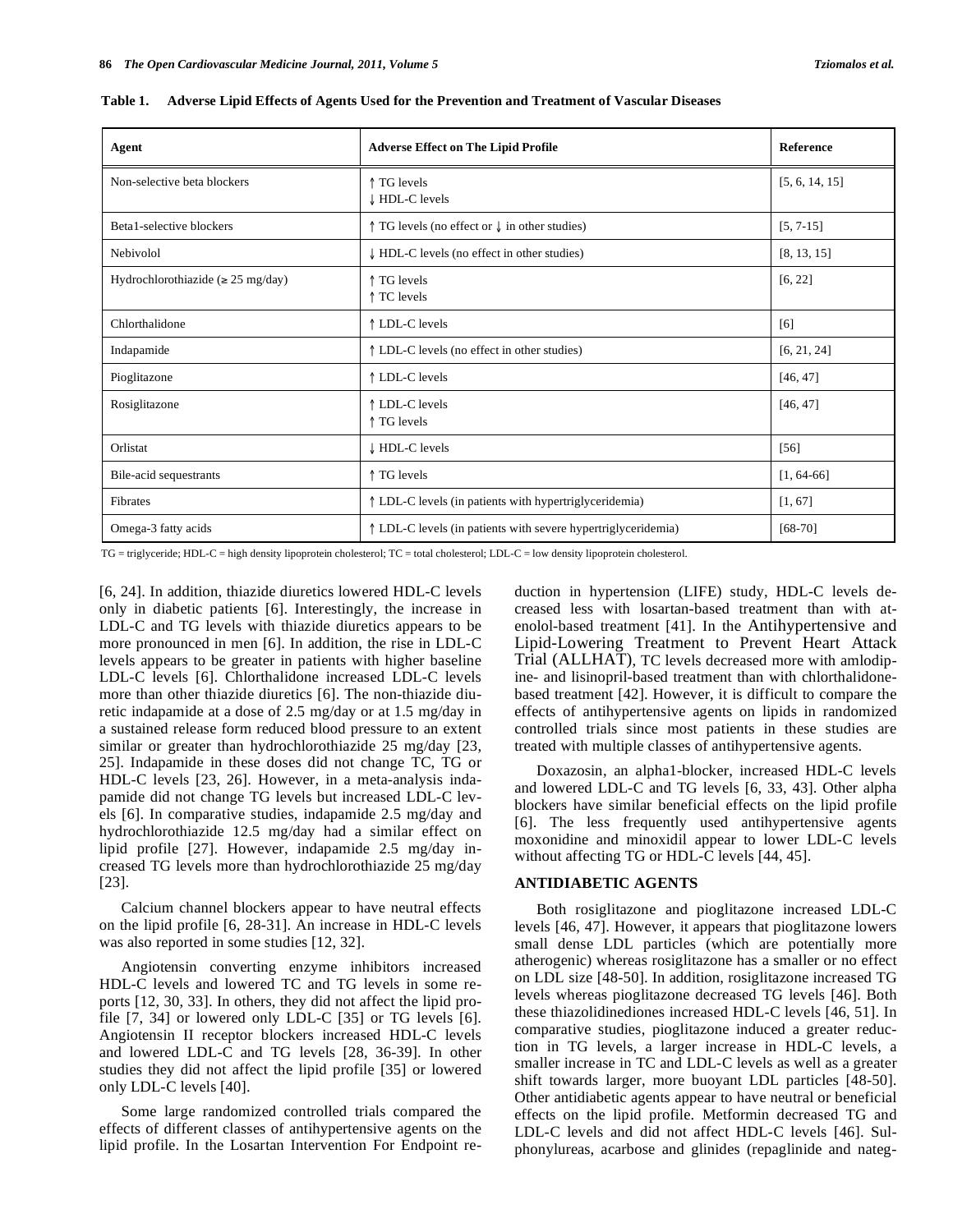| Agent                                   | <b>Adverse Effect on The Lipid Profile</b>                        | <b>Reference</b> |
|-----------------------------------------|-------------------------------------------------------------------|------------------|
| Non-selective beta blockers             | ↑ TG levels<br>HDL-C levels                                       | [5, 6, 14, 15]   |
| Beta1-selective blockers                | $\uparrow$ TG levels (no effect or $\downarrow$ in other studies) | $[5, 7-15]$      |
| Nebivolol                               | $\downarrow$ HDL-C levels (no effect in other studies)            | [8, 13, 15]      |
| Hydrochlorothiazide ( $\geq 25$ mg/day) | ↑ TG levels<br>↑ TC levels                                        | [6, 22]          |
| Chlorthalidone                          | ↑ LDL-C levels                                                    | [6]              |
| Indapamide                              | ↑ LDL-C levels (no effect in other studies)                       | [6, 21, 24]      |
| Pioglitazone                            | ↑ LDL-C levels                                                    | [46, 47]         |
| Rosiglitazone                           | ↑ LDL-C levels<br>↑ TG levels                                     | [46, 47]         |
| Orlistat                                | HDL-C levels                                                      | [56]             |
| Bile-acid sequestrants                  | ↑ TG levels                                                       | $[1, 64-66]$     |
| Fibrates                                | ↑ LDL-C levels (in patients with hypertriglyceridemia)            | [1, 67]          |
| Omega-3 fatty acids                     | ↑ LDL-C levels (in patients with severe hypertriglyceridemia)     | $[68-70]$        |

**Table 1. Adverse Lipid Effects of Agents Used for the Prevention and Treatment of Vascular Diseases** 

TG = triglyceride; HDL-C = high density lipoprotein cholesterol; TC = total cholesterol; LDL-C = low density lipoprotein cholesterol.

[6, 24]. In addition, thiazide diuretics lowered HDL-C levels only in diabetic patients [6]. Interestingly, the increase in LDL-C and TG levels with thiazide diuretics appears to be more pronounced in men [6]. In addition, the rise in LDL-C levels appears to be greater in patients with higher baseline LDL-C levels [6]. Chlorthalidone increased LDL-C levels more than other thiazide diuretics [6]. The non-thiazide diuretic indapamide at a dose of 2.5 mg/day or at 1.5 mg/day in a sustained release form reduced blood pressure to an extent similar or greater than hydrochlorothiazide 25 mg/day [23, 25]. Indapamide in these doses did not change TC, TG or HDL-C levels [23, 26]. However, in a meta-analysis indapamide did not change TG levels but increased LDL-C levels [6]. In comparative studies, indapamide 2.5 mg/day and hydrochlorothiazide 12.5 mg/day had a similar effect on lipid profile [27]. However, indapamide 2.5 mg/day increased TG levels more than hydrochlorothiazide 25 mg/day [23].

 Calcium channel blockers appear to have neutral effects on the lipid profile [6, 28-31]. An increase in HDL-C levels was also reported in some studies [12, 32].

 Angiotensin converting enzyme inhibitors increased HDL-C levels and lowered TC and TG levels in some reports [12, 30, 33]. In others, they did not affect the lipid profile [7, 34] or lowered only LDL-C [35] or TG levels [6]. Angiotensin II receptor blockers increased HDL-C levels and lowered LDL-C and TG levels [28, 36-39]. In other studies they did not affect the lipid profile [35] or lowered only LDL-C levels [40].

 Some large randomized controlled trials compared the effects of different classes of antihypertensive agents on the lipid profile. In the Losartan Intervention For Endpoint reduction in hypertension (LIFE) study, HDL-C levels decreased less with losartan-based treatment than with atenolol-based treatment [41]. In the Antihypertensive and Lipid-Lowering Treatment to Prevent Heart Attack Trial (ALLHAT), TC levels decreased more with amlodipine- and lisinopril-based treatment than with chlorthalidonebased treatment [42]. However, it is difficult to compare the effects of antihypertensive agents on lipids in randomized controlled trials since most patients in these studies are treated with multiple classes of antihypertensive agents.

 Doxazosin, an alpha1-blocker, increased HDL-C levels and lowered LDL-C and TG levels [6, 33, 43]. Other alpha blockers have similar beneficial effects on the lipid profile [6]. The less frequently used antihypertensive agents moxonidine and minoxidil appear to lower LDL-C levels without affecting TG or HDL-C levels [44, 45].

#### **ANTIDIABETIC AGENTS**

 Both rosiglitazone and pioglitazone increased LDL-C levels [46, 47]. However, it appears that pioglitazone lowers small dense LDL particles (which are potentially more atherogenic) whereas rosiglitazone has a smaller or no effect on LDL size [48-50]. In addition, rosiglitazone increased TG levels whereas pioglitazone decreased TG levels [46]. Both these thiazolidinediones increased HDL-C levels [46, 51]. In comparative studies, pioglitazone induced a greater reduction in TG levels, a larger increase in HDL-C levels, a smaller increase in TC and LDL-C levels as well as a greater shift towards larger, more buoyant LDL particles [48-50]. Other antidiabetic agents appear to have neutral or beneficial effects on the lipid profile. Metformin decreased TG and LDL-C levels and did not affect HDL-C levels [46]. Sulphonylureas, acarbose and glinides (repaglinide and nateg-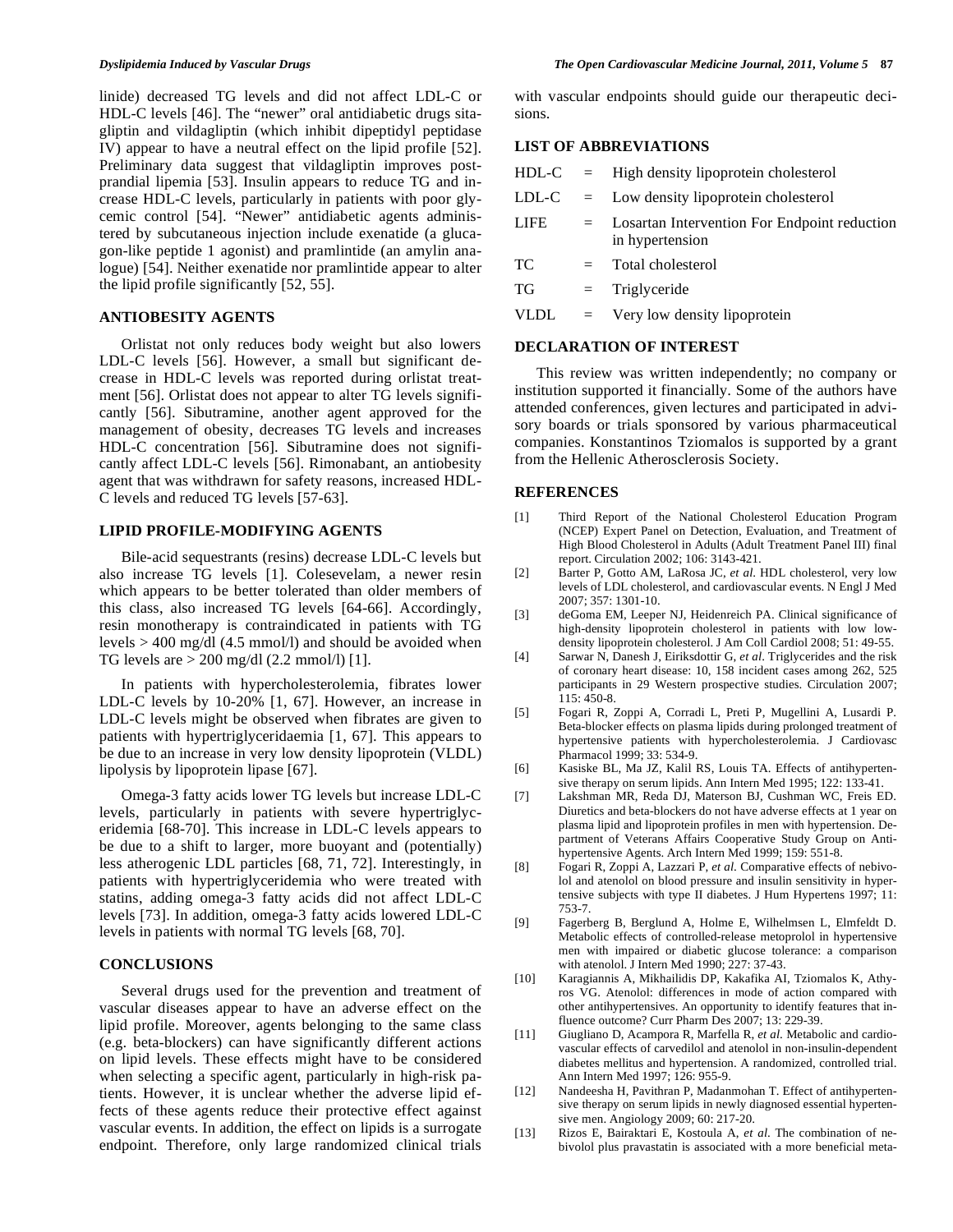linide) decreased TG levels and did not affect LDL-C or HDL-C levels [46]. The "newer" oral antidiabetic drugs sitagliptin and vildagliptin (which inhibit dipeptidyl peptidase IV) appear to have a neutral effect on the lipid profile [52]. Preliminary data suggest that vildagliptin improves postprandial lipemia [53]. Insulin appears to reduce TG and increase HDL-C levels, particularly in patients with poor glycemic control [54]. "Newer" antidiabetic agents administered by subcutaneous injection include exenatide (a glucagon-like peptide 1 agonist) and pramlintide (an amylin analogue) [54]. Neither exenatide nor pramlintide appear to alter the lipid profile significantly [52, 55].

# **ANTIOBESITY AGENTS**

 Orlistat not only reduces body weight but also lowers LDL-C levels [56]. However, a small but significant decrease in HDL-C levels was reported during orlistat treatment [56]. Orlistat does not appear to alter TG levels significantly [56]. Sibutramine, another agent approved for the management of obesity, decreases TG levels and increases HDL-C concentration [56]. Sibutramine does not significantly affect LDL-C levels [56]. Rimonabant, an antiobesity agent that was withdrawn for safety reasons, increased HDL-C levels and reduced TG levels [57-63].

# **LIPID PROFILE-MODIFYING AGENTS**

Bile-acid sequestrants (resins) decrease LDL-C levels but also increase TG levels [1]. Colesevelam, a newer resin which appears to be better tolerated than older members of this class, also increased TG levels [64-66]. Accordingly, resin monotherapy is contraindicated in patients with TG levels > 400 mg/dl (4.5 mmol/l) and should be avoided when TG levels are  $> 200$  mg/dl (2.2 mmol/l) [1].

 In patients with hypercholesterolemia, fibrates lower LDL-C levels by 10-20% [1, 67]. However, an increase in LDL-C levels might be observed when fibrates are given to patients with hypertriglyceridaemia [1, 67]. This appears to be due to an increase in very low density lipoprotein (VLDL) lipolysis by lipoprotein lipase [67].

 Omega-3 fatty acids lower TG levels but increase LDL-C levels, particularly in patients with severe hypertriglyceridemia [68-70]. This increase in LDL-C levels appears to be due to a shift to larger, more buoyant and (potentially) less atherogenic LDL particles [68, 71, 72]. Interestingly, in patients with hypertriglyceridemia who were treated with statins, adding omega-3 fatty acids did not affect LDL-C levels [73]. In addition, omega-3 fatty acids lowered LDL-C levels in patients with normal TG levels [68, 70].

#### **CONCLUSIONS**

 Several drugs used for the prevention and treatment of vascular diseases appear to have an adverse effect on the lipid profile. Moreover, agents belonging to the same class (e.g. beta-blockers) can have significantly different actions on lipid levels. These effects might have to be considered when selecting a specific agent, particularly in high-risk patients. However, it is unclear whether the adverse lipid effects of these agents reduce their protective effect against vascular events. In addition, the effect on lipids is a surrogate endpoint. Therefore, only large randomized clinical trials with vascular endpoints should guide our therapeutic decisions.

## **LIST OF ABBREVIATIONS**

| HDL-C       |         | $=$ High density lipoprotein cholesterol                        |
|-------------|---------|-----------------------------------------------------------------|
| LDL-C       | $=$ $-$ | Low density lipoprotein cholesterol                             |
| LIFE.       | $=$ $-$ | Losartan Intervention For Endpoint reduction<br>in hypertension |
| TC          | $=$     | Total cholesterol                                               |
| ТG          | $=$     | Triglyceride                                                    |
| <b>VLDL</b> | $=$     | Very low density lipoprotein                                    |
|             |         |                                                                 |

#### **DECLARATION OF INTEREST**

 This review was written independently; no company or institution supported it financially. Some of the authors have attended conferences, given lectures and participated in advisory boards or trials sponsored by various pharmaceutical companies. Konstantinos Tziomalos is supported by a grant from the Hellenic Atherosclerosis Society.

#### **REFERENCES**

- [1] Third Report of the National Cholesterol Education Program (NCEP) Expert Panel on Detection, Evaluation, and Treatment of High Blood Cholesterol in Adults (Adult Treatment Panel III) final report. Circulation 2002; 106: 3143-421.
- [2] Barter P, Gotto AM, LaRosa JC, *et al*. HDL cholesterol, very low levels of LDL cholesterol, and cardiovascular events. N Engl J Med 2007; 357: 1301-10.
- [3] deGoma EM, Leeper NJ, Heidenreich PA. Clinical significance of high-density lipoprotein cholesterol in patients with low lowdensity lipoprotein cholesterol. J Am Coll Cardiol 2008; 51: 49-55.
- [4] Sarwar N, Danesh J, Eiriksdottir G, *et al*. Triglycerides and the risk of coronary heart disease: 10, 158 incident cases among 262, 525 participants in 29 Western prospective studies. Circulation 2007; 115: 450-8.
- [5] Fogari R, Zoppi A, Corradi L, Preti P, Mugellini A, Lusardi P. Beta-blocker effects on plasma lipids during prolonged treatment of hypertensive patients with hypercholesterolemia. J Cardiovasc Pharmacol 1999; 33: 534-9.
- [6] Kasiske BL, Ma JZ, Kalil RS, Louis TA. Effects of antihypertensive therapy on serum lipids. Ann Intern Med 1995; 122: 133-41.
- [7] Lakshman MR, Reda DJ, Materson BJ, Cushman WC, Freis ED. Diuretics and beta-blockers do not have adverse effects at 1 year on plasma lipid and lipoprotein profiles in men with hypertension. Department of Veterans Affairs Cooperative Study Group on Antihypertensive Agents. Arch Intern Med 1999; 159: 551-8.
- [8] Fogari R, Zoppi A, Lazzari P, *et al*. Comparative effects of nebivolol and atenolol on blood pressure and insulin sensitivity in hypertensive subjects with type II diabetes. J Hum Hypertens 1997; 11: 753-7.
- [9] Fagerberg B, Berglund A, Holme E, Wilhelmsen L, Elmfeldt D. Metabolic effects of controlled-release metoprolol in hypertensive men with impaired or diabetic glucose tolerance: a comparison with atenolol. J Intern Med 1990; 227: 37-43.
- [10] Karagiannis A, Mikhailidis DP, Kakafika AI, Tziomalos K, Athyros VG. Atenolol: differences in mode of action compared with other antihypertensives. An opportunity to identify features that influence outcome? Curr Pharm Des 2007; 13: 229-39.
- [11] Giugliano D, Acampora R, Marfella R, *et al*. Metabolic and cardiovascular effects of carvedilol and atenolol in non-insulin-dependent diabetes mellitus and hypertension. A randomized, controlled trial. Ann Intern Med 1997; 126: 955-9.
- [12] Nandeesha H, Pavithran P, Madanmohan T. Effect of antihypertensive therapy on serum lipids in newly diagnosed essential hypertensive men. Angiology 2009; 60: 217-20.
- [13] Rizos E, Bairaktari E, Kostoula A, *et al*. The combination of nebivolol plus pravastatin is associated with a more beneficial meta-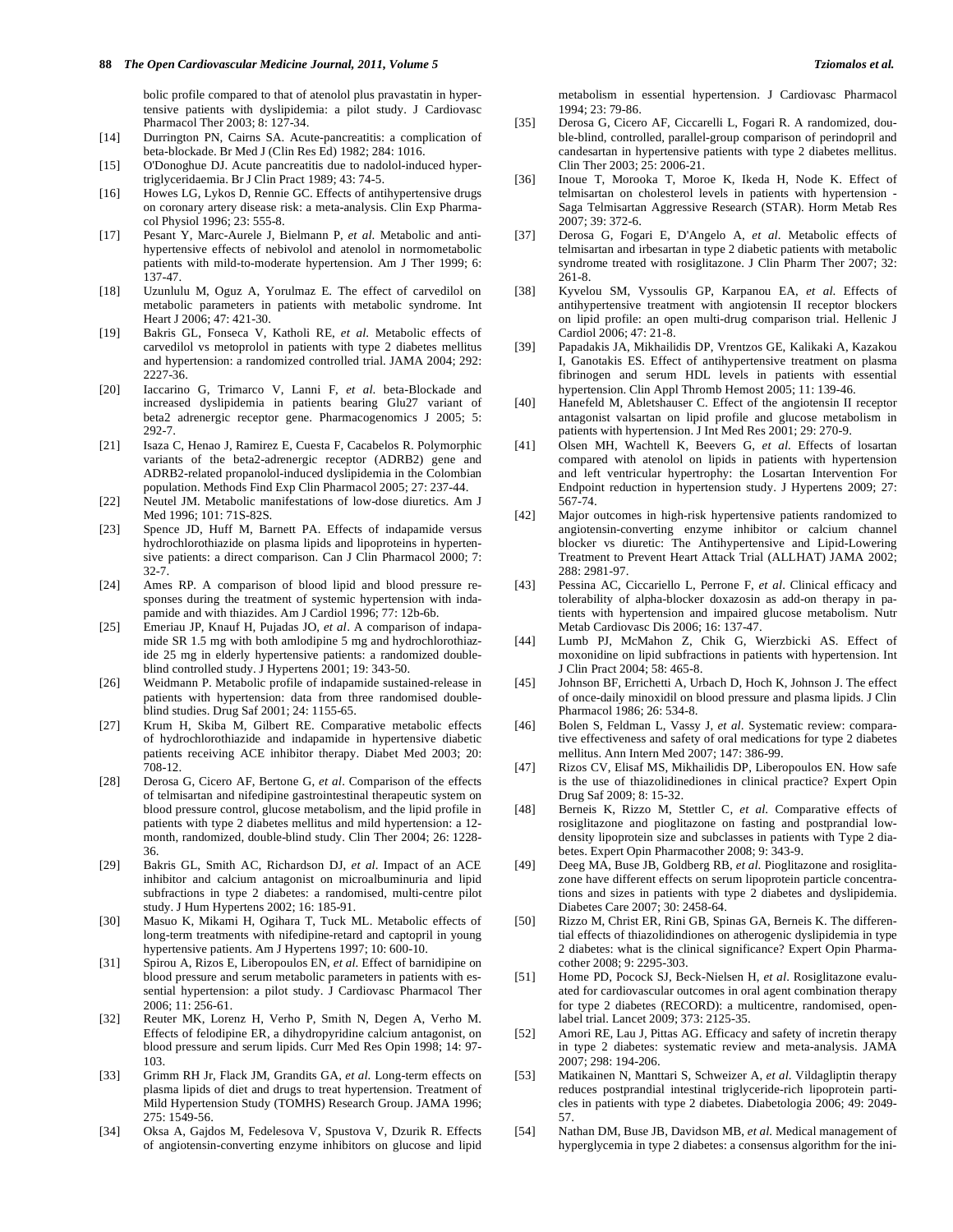bolic profile compared to that of atenolol plus pravastatin in hypertensive patients with dyslipidemia: a pilot study. J Cardiovasc Pharmacol Ther 2003; 8: 127-34.

- [14] Durrington PN, Cairns SA. Acute-pancreatitis: a complication of beta-blockade. Br Med J (Clin Res Ed) 1982; 284: 1016.
- [15] O'Donoghue DJ. Acute pancreatitis due to nadolol-induced hypertriglyceridaemia. Br J Clin Pract 1989; 43: 74-5.
- [16] Howes LG, Lykos D, Rennie GC. Effects of antihypertensive drugs on coronary artery disease risk: a meta-analysis. Clin Exp Pharmacol Physiol 1996; 23: 555-8.
- [17] Pesant Y, Marc-Aurele J, Bielmann P, *et al*. Metabolic and antihypertensive effects of nebivolol and atenolol in normometabolic patients with mild-to-moderate hypertension. Am J Ther 1999; 6: 137-47.
- [18] Uzunlulu M, Oguz A, Yorulmaz E. The effect of carvedilol on metabolic parameters in patients with metabolic syndrome. Int Heart J 2006; 47: 421-30.
- [19] Bakris GL, Fonseca V, Katholi RE, *et al*. Metabolic effects of carvedilol vs metoprolol in patients with type 2 diabetes mellitus and hypertension: a randomized controlled trial. JAMA 2004; 292: 2227-36.
- [20] Iaccarino G, Trimarco V, Lanni F, *et al*. beta-Blockade and increased dyslipidemia in patients bearing Glu27 variant of beta2 adrenergic receptor gene. Pharmacogenomics J 2005; 5: 292-7.
- [21] Isaza C, Henao J, Ramirez E, Cuesta F, Cacabelos R. Polymorphic variants of the beta2-adrenergic receptor (ADRB2) gene and ADRB2-related propanolol-induced dyslipidemia in the Colombian population. Methods Find Exp Clin Pharmacol 2005; 27: 237-44.
- [22] Neutel JM. Metabolic manifestations of low-dose diuretics. Am J Med 1996; 101: 71S-82S.
- [23] Spence JD, Huff M, Barnett PA. Effects of indapamide versus hydrochlorothiazide on plasma lipids and lipoproteins in hypertensive patients: a direct comparison. Can J Clin Pharmacol 2000; 7: 32-7.
- [24] Ames RP. A comparison of blood lipid and blood pressure responses during the treatment of systemic hypertension with indapamide and with thiazides. Am J Cardiol 1996; 77: 12b-6b.
- [25] Emeriau JP, Knauf H, Pujadas JO, *et al*. A comparison of indapamide SR 1.5 mg with both amlodipine 5 mg and hydrochlorothiazide 25 mg in elderly hypertensive patients: a randomized doubleblind controlled study. J Hypertens 2001; 19: 343-50.
- [26] Weidmann P. Metabolic profile of indapamide sustained-release in patients with hypertension: data from three randomised doubleblind studies. Drug Saf 2001; 24: 1155-65.
- [27] Krum H, Skiba M, Gilbert RE. Comparative metabolic effects of hydrochlorothiazide and indapamide in hypertensive diabetic patients receiving ACE inhibitor therapy. Diabet Med 2003; 20: 708-12.
- [28] Derosa G, Cicero AF, Bertone G, *et al*. Comparison of the effects of telmisartan and nifedipine gastrointestinal therapeutic system on blood pressure control, glucose metabolism, and the lipid profile in patients with type 2 diabetes mellitus and mild hypertension: a 12 month, randomized, double-blind study. Clin Ther 2004; 26: 1228- 36.
- [29] Bakris GL, Smith AC, Richardson DJ, *et al*. Impact of an ACE inhibitor and calcium antagonist on microalbuminuria and lipid subfractions in type 2 diabetes: a randomised, multi-centre pilot study. J Hum Hypertens 2002; 16: 185-91.
- [30] Masuo K, Mikami H, Ogihara T, Tuck ML. Metabolic effects of long-term treatments with nifedipine-retard and captopril in young hypertensive patients. Am J Hypertens 1997; 10: 600-10.
- [31] Spirou A, Rizos E, Liberopoulos EN, *et al*. Effect of barnidipine on blood pressure and serum metabolic parameters in patients with essential hypertension: a pilot study. J Cardiovasc Pharmacol Ther 2006; 11: 256-61.
- [32] Reuter MK, Lorenz H, Verho P, Smith N, Degen A, Verho M. Effects of felodipine ER, a dihydropyridine calcium antagonist, on blood pressure and serum lipids. Curr Med Res Opin 1998; 14: 97- 103.
- [33] Grimm RH Jr, Flack JM, Grandits GA, *et al*. Long-term effects on plasma lipids of diet and drugs to treat hypertension. Treatment of Mild Hypertension Study (TOMHS) Research Group. JAMA 1996; 275: 1549-56.
- [34] Oksa A, Gajdos M, Fedelesova V, Spustova V, Dzurik R. Effects of angiotensin-converting enzyme inhibitors on glucose and lipid

metabolism in essential hypertension. J Cardiovasc Pharmacol 1994; 23: 79-86.

- [35] Derosa G, Cicero AF, Ciccarelli L, Fogari R. A randomized, double-blind, controlled, parallel-group comparison of perindopril and candesartan in hypertensive patients with type 2 diabetes mellitus. Clin Ther 2003; 25: 2006-21.
- [36] Inoue T, Morooka T, Moroe K, Ikeda H, Node K. Effect of telmisartan on cholesterol levels in patients with hypertension - Saga Telmisartan Aggressive Research (STAR). Horm Metab Res 2007; 39: 372-6.
- [37] Derosa G, Fogari E, D'Angelo A, *et al*. Metabolic effects of telmisartan and irbesartan in type 2 diabetic patients with metabolic syndrome treated with rosiglitazone. J Clin Pharm Ther 2007; 32: 261-8.
- [38] Kyvelou SM, Vyssoulis GP, Karpanou EA, *et al*. Effects of antihypertensive treatment with angiotensin II receptor blockers on lipid profile: an open multi-drug comparison trial. Hellenic J Cardiol 2006; 47: 21-8.
- [39] Papadakis JA, Mikhailidis DP, Vrentzos GE, Kalikaki A, Kazakou I, Ganotakis ES. Effect of antihypertensive treatment on plasma fibrinogen and serum HDL levels in patients with essential hypertension. Clin Appl Thromb Hemost 2005; 11: 139-46.
- [40] Hanefeld M, Abletshauser C. Effect of the angiotensin II receptor antagonist valsartan on lipid profile and glucose metabolism in patients with hypertension. J Int Med Res 2001; 29: 270-9.
- [41] Olsen MH, Wachtell K, Beevers G, *et al*. Effects of losartan compared with atenolol on lipids in patients with hypertension and left ventricular hypertrophy: the Losartan Intervention For Endpoint reduction in hypertension study. J Hypertens 2009; 27: 567-74.
- [42] Major outcomes in high-risk hypertensive patients randomized to angiotensin-converting enzyme inhibitor or calcium channel blocker vs diuretic: The Antihypertensive and Lipid-Lowering Treatment to Prevent Heart Attack Trial (ALLHAT) JAMA 2002; 288: 2981-97.
- [43] Pessina AC, Ciccariello L, Perrone F, *et al*. Clinical efficacy and tolerability of alpha-blocker doxazosin as add-on therapy in patients with hypertension and impaired glucose metabolism. Nutr Metab Cardiovasc Dis 2006; 16: 137-47.
- [44] Lumb PJ, McMahon Z, Chik G, Wierzbicki AS. Effect of moxonidine on lipid subfractions in patients with hypertension. Int J Clin Pract 2004; 58: 465-8.
- [45] Johnson BF, Errichetti A, Urbach D, Hoch K, Johnson J. The effect of once-daily minoxidil on blood pressure and plasma lipids. J Clin Pharmacol 1986; 26: 534-8.
- [46] Bolen S, Feldman L, Vassy J, *et al*. Systematic review: comparative effectiveness and safety of oral medications for type 2 diabetes mellitus. Ann Intern Med 2007; 147: 386-99.
- [47] Rizos CV, Elisaf MS, Mikhailidis DP, Liberopoulos EN. How safe is the use of thiazolidinediones in clinical practice? Expert Opin Drug Saf 2009; 8: 15-32.
- [48] Berneis K, Rizzo M, Stettler C, *et al*. Comparative effects of rosiglitazone and pioglitazone on fasting and postprandial lowdensity lipoprotein size and subclasses in patients with Type 2 diabetes. Expert Opin Pharmacother 2008; 9: 343-9.
- [49] Deeg MA, Buse JB, Goldberg RB, *et al*. Pioglitazone and rosiglitazone have different effects on serum lipoprotein particle concentrations and sizes in patients with type 2 diabetes and dyslipidemia. Diabetes Care 2007; 30: 2458-64.
- [50] Rizzo M, Christ ER, Rini GB, Spinas GA, Berneis K. The differential effects of thiazolidindiones on atherogenic dyslipidemia in type 2 diabetes: what is the clinical significance? Expert Opin Pharmacother 2008; 9: 2295-303.
- [51] Home PD, Pocock SJ, Beck-Nielsen H, *et al*. Rosiglitazone evaluated for cardiovascular outcomes in oral agent combination therapy for type 2 diabetes (RECORD): a multicentre, randomised, openlabel trial. Lancet 2009; 373: 2125-35.
- [52] Amori RE, Lau J, Pittas AG. Efficacy and safety of incretin therapy in type 2 diabetes: systematic review and meta-analysis. JAMA 2007; 298: 194-206.
- [53] Matikainen N, Manttari S, Schweizer A, *et al*. Vildagliptin therapy reduces postprandial intestinal triglyceride-rich lipoprotein particles in patients with type 2 diabetes. Diabetologia 2006; 49: 2049- 57.
- [54] Nathan DM, Buse JB, Davidson MB, *et al*. Medical management of hyperglycemia in type 2 diabetes: a consensus algorithm for the ini-